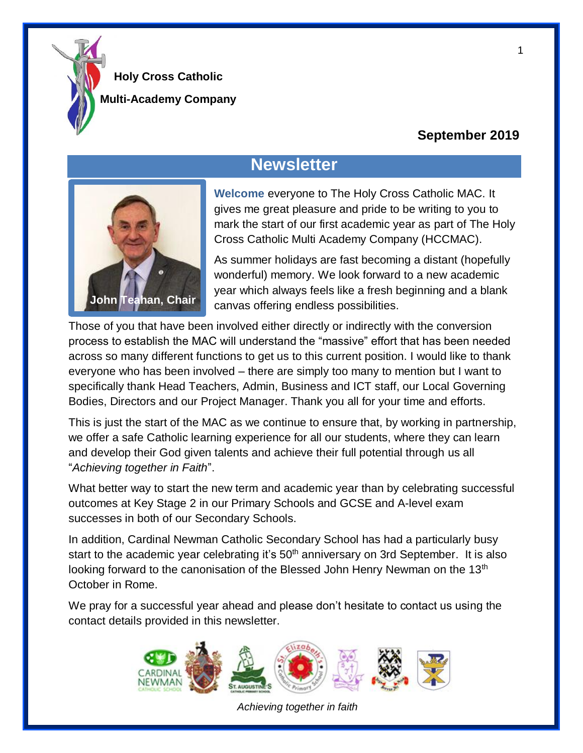

**Multi-Academy Company**

### **September 2019**

# **Newsletter**



**Welcome** everyone to The Holy Cross Catholic MAC. It gives me great pleasure and pride to be writing to you to mark the start of our first academic year as part of The Holy Cross Catholic Multi Academy Company (HCCMAC).

As summer holidays are fast becoming a distant (hopefully wonderful) memory. We look forward to a new academic year which always feels like a fresh beginning and a blank canvas offering endless possibilities.

Those of you that have been involved either directly or indirectly with the conversion process to establish the MAC will understand the "massive" effort that has been needed across so many different functions to get us to this current position. I would like to thank everyone who has been involved – there are simply too many to mention but I want to specifically thank Head Teachers, Admin, Business and ICT staff, our Local Governing Bodies, Directors and our Project Manager. Thank you all for your time and efforts.

This is just the start of the MAC as we continue to ensure that, by working in partnership, we offer a safe Catholic learning experience for all our students, where they can learn and develop their God given talents and achieve their full potential through us all "*Achieving together in Faith*".

What better way to start the new term and academic year than by celebrating successful outcomes at Key Stage 2 in our Primary Schools and GCSE and A-level exam successes in both of our Secondary Schools.

In addition, Cardinal Newman Catholic Secondary School has had a particularly busy start to the academic year celebrating it's 50<sup>th</sup> anniversary on 3rd September. It is also looking forward to the canonisation of the Blessed John Henry Newman on the 13<sup>th</sup> October in Rome.

We pray for a successful year ahead and please don't hesitate to contact us using the contact details provided in this newsletter.



*Achieving together in faith*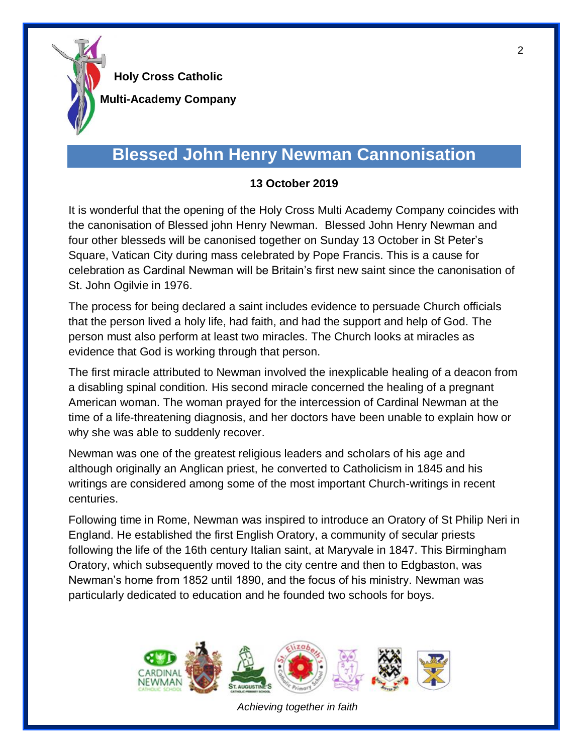

**Multi-Academy Company**

## **Blessed John Henry Newman Cannonisation**

#### **13 October 2019**

It is wonderful that the opening of the Holy Cross Multi Academy Company coincides with the canonisation of Blessed john Henry Newman. Blessed John Henry Newman and four other blesseds will be canonised together on Sunday 13 October in St Peter's Square, Vatican City during mass celebrated by Pope Francis. This is a cause for celebration as Cardinal Newman will be Britain's first new saint since the canonisation of St. John Ogilvie in 1976.

The process for being declared a saint includes evidence to persuade Church officials that the person lived a holy life, had faith, and had the support and help of God. The person must also perform at least two miracles. The Church looks at miracles as evidence that God is working through that person.

The first miracle attributed to Newman involved the inexplicable healing of a deacon from a disabling spinal condition. His second miracle concerned the healing of a pregnant American woman. The woman prayed for the intercession of Cardinal Newman at the time of a life-threatening diagnosis, and her doctors have been unable to explain how or why she was able to suddenly recover.

Newman was one of the greatest religious leaders and scholars of his age and although originally an Anglican priest, he converted to Catholicism in 1845 and his writings are considered among some of the most important Church-writings in recent centuries.

Following time in Rome, Newman was inspired to introduce an Oratory of St Philip Neri in England. He established the first English Oratory, a community of secular priests following the life of the 16th century Italian saint, at Maryvale in 1847. This Birmingham Oratory, which subsequently moved to the city centre and then to Edgbaston, was Newman's home from 1852 until 1890, and the focus of his ministry. Newman was particularly dedicated to education and he founded two schools for boys.



*Achieving together in faith*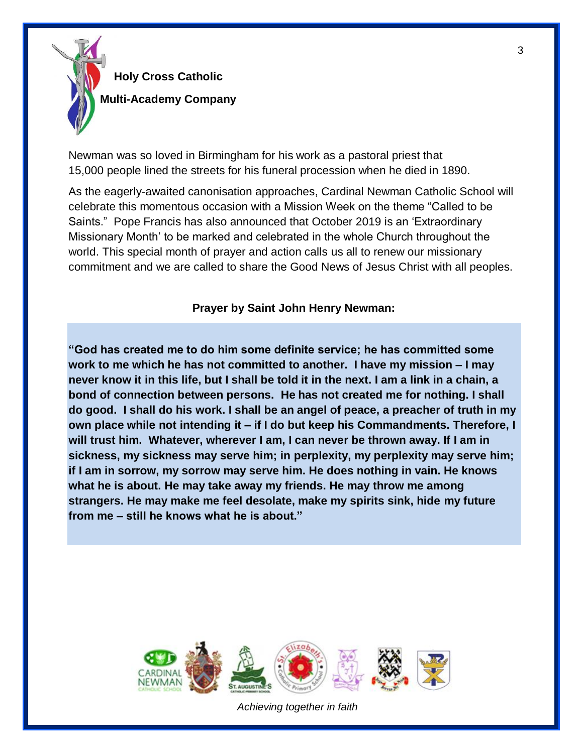

**Multi-Academy Company**

Newman was so loved in Birmingham for his work as a pastoral priest that 15,000 people lined the streets for his funeral procession when he died in 1890.

As the eagerly-awaited canonisation approaches, Cardinal Newman Catholic School will celebrate this momentous occasion with a Mission Week on the theme "Called to be Saints." Pope Francis has also announced that October 2019 is an 'Extraordinary Missionary Month' to be marked and celebrated in the whole Church throughout the world. This special month of prayer and action calls us all to renew our missionary commitment and we are called to share the Good News of Jesus Christ with all peoples.

**Prayer by Saint John Henry Newman:**

**"God has created me to do him some definite service; he has committed some work to me which he has not committed to another. I have my mission – I may never know it in this life, but I shall be told it in the next. I am a link in a chain, a bond of connection between persons. He has not created me for nothing. I shall do good. I shall do his work. I shall be an angel of peace, a preacher of truth in my own place while not intending it – if I do but keep his Commandments. Therefore, I will trust him. Whatever, wherever I am, I can never be thrown away. If I am in sickness, my sickness may serve him; in perplexity, my perplexity may serve him; if I am in sorrow, my sorrow may serve him. He does nothing in vain. He knows what he is about. He may take away my friends. He may throw me among strangers. He may make me feel desolate, make my spirits sink, hide my future from me – still he knows what he is about."**



*Achieving together in faith*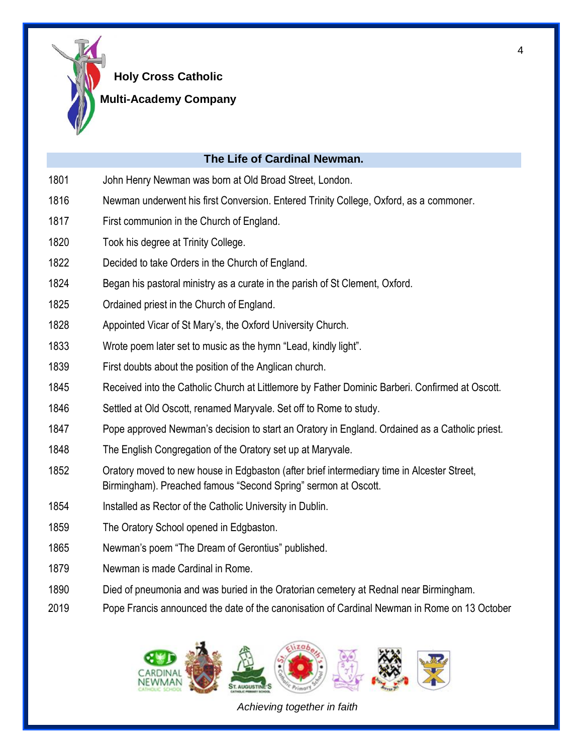

#### **Multi-Academy Company**

#### **The Life of Cardinal Newman.**

- John Henry Newman was born at Old Broad Street, London.
- Newman underwent his first Conversion. Entered Trinity College, Oxford, as a commoner.
- First communion in the Church of England.
- Took his degree at Trinity College.
- Decided to take Orders in the Church of England.
- Began his pastoral ministry as a curate in the parish of St Clement, Oxford.
- Ordained priest in the Church of England.
- Appointed Vicar of St Mary's, the Oxford University Church.
- Wrote poem later set to music as the hymn "Lead, kindly light".
- First doubts about the position of the Anglican church.
- Received into the Catholic Church at Littlemore by Father Dominic Barberi. Confirmed at Oscott.
- Settled at Old Oscott, renamed Maryvale. Set off to Rome to study.
- Pope approved Newman's decision to start an Oratory in England. Ordained as a Catholic priest.
- The English Congregation of the Oratory set up at Maryvale.
- Oratory moved to new house in Edgbaston (after brief intermediary time in Alcester Street, Birmingham). Preached famous "Second Spring" sermon at Oscott.
- Installed as Rector of the Catholic University in Dublin.
- 1859 The Oratory School opened in Edgbaston.
- Newman's poem "The Dream of Gerontius" published.
- 1879 Newman is made Cardinal in Rome.
- Died of pneumonia and was buried in the Oratorian cemetery at Rednal near Birmingham.
- Pope Francis announced the date of the canonisation of Cardinal Newman in Rome on 13 October



*Achieving together in faith*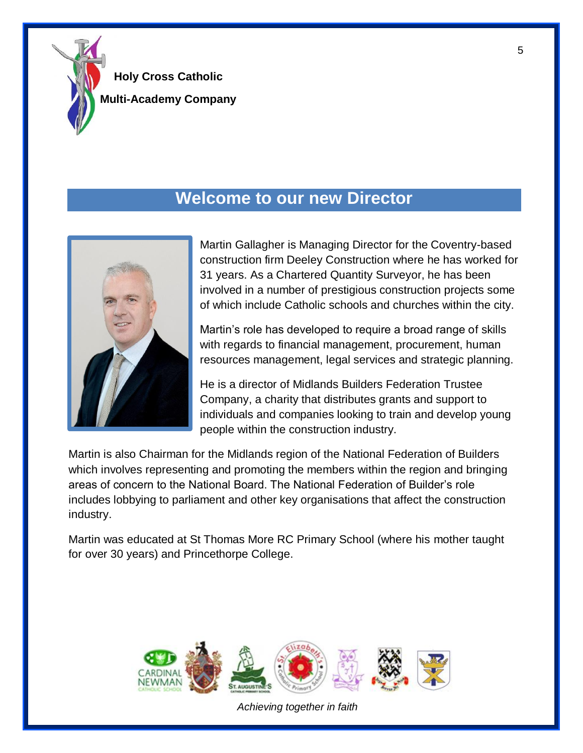

**Holy Cross Catholic Multi-Academy Company**

### **Welcome to our new Director**



Martin Gallagher is Managing Director for the Coventry-based construction firm Deeley Construction where he has worked for 31 years. As a Chartered Quantity Surveyor, he has been involved in a number of prestigious construction projects some of which include Catholic schools and churches within the city.

Martin's role has developed to require a broad range of skills with regards to financial management, procurement, human resources management, legal services and strategic planning.

He is a director of Midlands Builders Federation Trustee Company, a charity that distributes grants and support to individuals and companies looking to train and develop young people within the construction industry.

Martin is also Chairman for the Midlands region of the National Federation of Builders which involves representing and promoting the members within the region and bringing areas of concern to the National Board. The National Federation of Builder's role includes lobbying to parliament and other key organisations that affect the construction industry.

Martin was educated at St Thomas More RC Primary School (where his mother taught for over 30 years) and Princethorpe College.



*Achieving together in faith*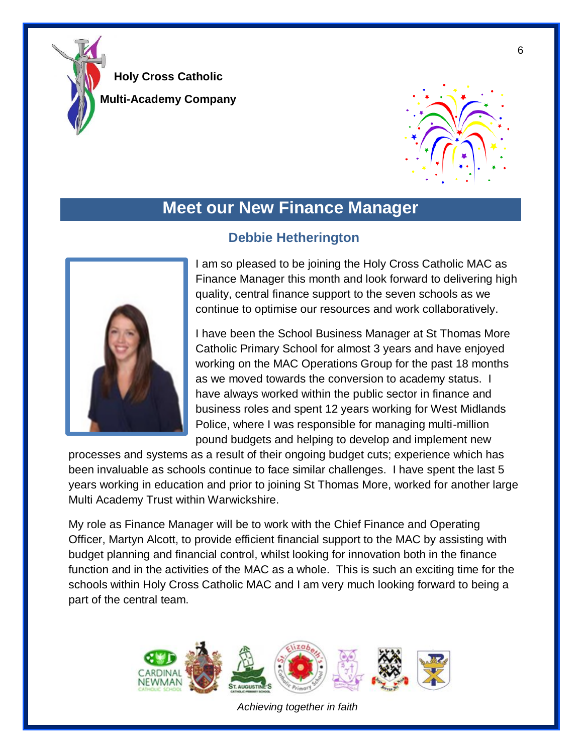

**Multi-Academy Company**



## **Meet our New Finance Manager**



### **Debbie Hetherington**

I am so pleased to be joining the Holy Cross Catholic MAC as Finance Manager this month and look forward to delivering high quality, central finance support to the seven schools as we continue to optimise our resources and work collaboratively.

I have been the School Business Manager at St Thomas More Catholic Primary School for almost 3 years and have enjoyed working on the MAC Operations Group for the past 18 months as we moved towards the conversion to academy status. I have always worked within the public sector in finance and business roles and spent 12 years working for West Midlands Police, where I was responsible for managing multi-million pound budgets and helping to develop and implement new

processes and systems as a result of their ongoing budget cuts; experience which has been invaluable as schools continue to face similar challenges. I have spent the last 5 years working in education and prior to joining St Thomas More, worked for another large Multi Academy Trust within Warwickshire.

My role as Finance Manager will be to work with the Chief Finance and Operating Officer, Martyn Alcott, to provide efficient financial support to the MAC by assisting with budget planning and financial control, whilst looking for innovation both in the finance function and in the activities of the MAC as a whole. This is such an exciting time for the schools within Holy Cross Catholic MAC and I am very much looking forward to being a part of the central team.



*Achieving together in faith*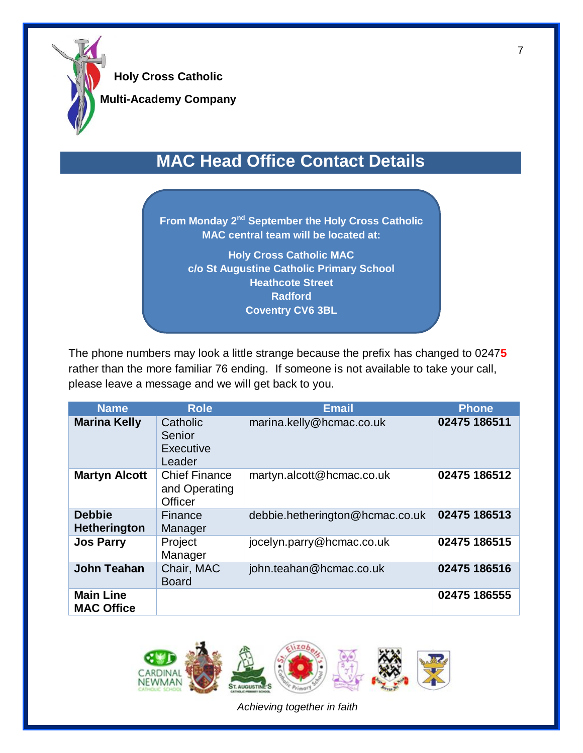

**Multi-Academy Company**

## **MAC Head Office Contact Details**

**From Monday 2<sup>nd</sup> September the Holy Cross Catholic MAC central team will be located at: Holy Cross Catholic MAC c/o St Augustine Catholic Primary School Heathcote Street Radford Coventry CV6 3BL**

The phone numbers may look a little strange because the prefix has changed to 0247**5**  rather than the more familiar 76 ending. If someone is not available to take your call, please leave a message and we will get back to you.

| <b>Name</b>                           | <b>Role</b>                                             | <b>Email</b>                    | Phone        |
|---------------------------------------|---------------------------------------------------------|---------------------------------|--------------|
| <b>Marina Kelly</b>                   | Catholic<br>Senior<br>Executive<br>Leader               | marina.kelly@hcmac.co.uk        | 02475 186511 |
| <b>Martyn Alcott</b>                  | <b>Chief Finance</b><br>and Operating<br><b>Officer</b> | martyn.alcott@hcmac.co.uk       | 02475 186512 |
| <b>Debbie</b><br><b>Hetherington</b>  | Finance<br>Manager                                      | debbie.hetherington@hcmac.co.uk | 02475 186513 |
| <b>Jos Parry</b>                      | Project<br>Manager                                      | jocelyn.parry@hcmac.co.uk       | 02475 186515 |
| <b>John Teahan</b>                    | Chair, MAC<br><b>Board</b>                              | john.teahan@hcmac.co.uk         | 02475 186516 |
| <b>Main Line</b><br><b>MAC Office</b> |                                                         |                                 | 02475 186555 |



*Achieving together in faith*